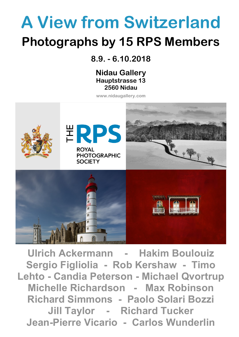# **A View from Switzerland Photographs by 15 RPS Members**

**8.9. - 6.10.2018** 

**Nidau Gallery Hauptstrasse 13 2560 Nidau**

**www.nidaugallery.com**



**Ulrich Ackermann - Hakim Boulouiz Sergio Figliolia - Rob Kershaw - Timo Lehto - Candia Peterson - Michael Qvortrup Michelle Richardson - Max Robinson Richard Simmons - Paolo Solari Bozzi Jill Taylor - Richard Tucker Jean-Pierre Vicario - Carlos Wunderlin**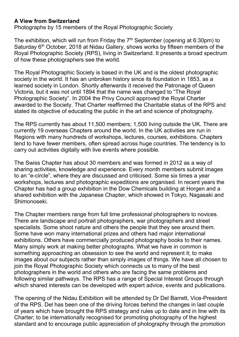#### **A View from Switzerland**

Photographs by 15 members of the Royal Photographic Society

The exhibition, which will run from Friday the  $7<sup>th</sup>$  September (opening at 6:30pm) to Saturday 6<sup>th</sup> October, 2018 at Nidau Gallery, shows works by fifteen members of the Royal Photographic Society (RPS), living in Switzerland. It presents a broad spectrum of how these photographers see the world.

The Royal Photographic Society is based in the UK and is the oldest photographic society in the world. It has an unbroken history since its foundation in 1853, as a learned society in London. Shortly afterwards it received the Patronage of Queen Victoria, but it was not until 1894 that the name was changed to "The Royal Photographic Society". In 2004 the Privy Council approved the Royal Charter awarded to the Society. That Charter reaffirmed the Charitable status of the RPS and stated its objective of educating the public in the art and science of photography.

The RPS currently has about 11,500 members; 1,500 living outside the UK. There are currently 19 overseas Chapters around the world. In the UK activities are run in Regions with many hundreds of workshops, lectures, courses, exhibitions. Chapters tend to have fewer members, often spread across huge countries. The tendency is to carry out activities digitally with live events where possible.

The Swiss Chapter has about 30 members and was formed in 2012 as a way of sharing activities, knowledge and experience. Every month members submit images to an "e-circle", where they are discussed and criticised. Some six times a year workshops, lectures and photographic expeditions are organised. In recent years the Chapter has had a group exhibition in the Dow Chemicals building at Horgen and a shared exhibition with the Japanese Chapter, which showed in Tokyo, Nagasaki and Shimonoseki.

The Chapter members range from full time professional photographers to novices. There are landscape and portrait photographers, war photographers and street specialists. Some shoot nature and others the people that they see around them. Some have won many international prizes and others had major international exhibitions. Others have commercially produced photography books to their names. Many simply work at making better photographs. What we have in common is something approaching an obsession to see the world and represent it; to make images about our subjects rather than simply images of things. We have all chosen to join the Royal Photographic Society which connects us to many of the best photographers in the world and others who are facing the same problems and following similar pathways. The RPS has a range of Special Interest Groups through which shared interests can be developed with expert advice, events and publications.

The opening of the Nidau Exhibition will be attended by Dr Del Barrett, Vice-President of the RPS. Del has been one of the driving forces behind the changes in last couple of years which have brought the RPS strategy and rules up to date and in line with its Charter; to be internationally recognised for promoting photography of the highest standard and to encourage public appreciation of photography through the promotion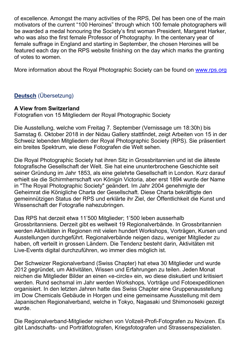of excellence. Amongst the many activities of the RPS, Del has been one of the main motivators of the current "100 Heroines" through which 100 female photographers will be awarded a medal honouring the Society's first woman President, Margaret Harker, who was also the first female Professor of Photography. In the centenary year of female suffrage in England and starting in September, the chosen Heroines will be featured each day on the RPS website finishing on the day which marks the granting of votes to women.

More information about the Royal Photographic Society can be found on [www.rps.org](http://www.rps.org/)

# **Deutsch** (Übersetzung)

## **A View from Switzerland**

Fotografien von 15 Mitgliedern der Royal Photographic Society

Die Ausstellung, welche vom Freitag 7. September (Vernissage um 18:30h) bis Samstag 6. Oktober 2018 in der Nidau Gallery stattfindet, zeigt Arbeiten von 15 in der Schweiz lebenden Mitgliedern der Royal Photographic Society (RPS). Sie präsentiert ein breites Spektrum, wie diese Fotografen die Welt sehen.

Die Royal Photographic Society hat ihren Sitz in Grossbritannien und ist die älteste fotografische Gesellschaft der Welt. Sie hat eine ununterbrochene Geschichte seit seiner Gründung im Jahr 1853, als eine gelehrte Gesellschaft in London. Kurz darauf erhielt sie die Schirmherrschaft von Königin Victoria, aber erst 1894 wurde der Name in "The Royal Photographic Society" geändert. Im Jahr 2004 genehmigte der Geheimrat die Königliche Charta der Gesellschaft. Diese Charta bekräftigte den gemeinnützigen Status der RPS und erklärte ihr Ziel, der Öffentlichkeit die Kunst und Wissenschaft der Fotografie nahezubringen.

Das RPS hat derzeit etwa 11'500 Mitglieder; 1'500 leben ausserhalb Grossbritanniens. Derzeit gibt es weltweit 19 Regionalverbände. In Grossbritannien werden Aktivitäten in Regionen mit vielen hundert Workshops, Vorträgen, Kursen und Ausstellungen durchgeführt. Regionalverbände neigen dazu, weniger Mitglieder zu haben, oft verteilt in grossen Ländern. Die Tendenz besteht darin, Aktivitäten mit Live-Events digital durchzuführen, wo immer dies möglich ist.

Der Schweizer Regionalverband (Swiss Chapter) hat etwa 30 Mitglieder und wurde 2012 gegründet, um Aktivitäten, Wissen und Erfahrungen zu teilen. Jeden Monat reichen die Mitglieder Bilder an einen «e-circle» ein, wo diese diskutiert und kritisiert werden. Rund sechsmal im Jahr werden Workshops, Vorträge und Fotoexpeditionen organisiert. In den letzten Jahren hatte das Swiss Chapter eine Gruppenausstellung im Dow Chemicals Gebäude in Horgen und eine gemeinsame Ausstellung mit dem Japanischen Regionalverband, welche in Tokyo, Nagasaki und Shimonoseki gezeigt wurde.

Die Regionalverband-Mitglieder reichen von Vollzeit-Profi-Fotografen zu Novizen. Es gibt Landschafts- und Porträtfotografen, Kriegsfotografen und Strassenspezialisten.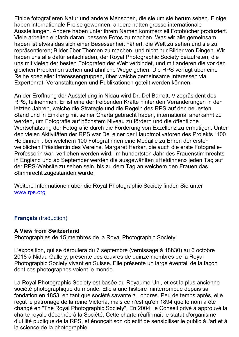Einige fotografieren Natur und andere Menschen, die sie um sie herum sehen. Einige haben internationale Preise gewonnen, andere hatten grosse internationale Ausstellungen. Andere haben unter ihrem Namen kommerziell Fotobücher produziert. Viele arbeiten einfach daran, bessere Fotos zu machen. Was wir alle gemeinsam haben ist etwas das sich einer Besessenheit nähert, die Welt zu sehen und sie zu repräsentieren; Bilder über Themen zu machen, und nicht nur Bilder von Dingen. Wir haben uns alle dafür entschieden, der Royal Photographic Society beizutreten, die uns mit vielen der besten Fotografen der Welt verbindet, und mit anderen die vor den gleichen Problemen stehen und ähnliche Wege gehen. Die RPS verfügt über eine Reihe spezieller Interessengruppen, über welche gemeinsame Interessen via Expertenrat, Veranstaltungen und Publikationen geteilt werden können.

An der Eröffnung der Ausstellung in Nidau wird Dr. Del Barrett, Vizepräsident des RPS, teilnehmen. Er ist eine der treibenden Kräfte hinter den Veränderungen in den letzten Jahren, welche die Strategie und die Regeln des RPS auf den neuesten Stand und in Einklang mit seiner Charta gebracht haben, international anerkannt zu werden, um Fotografie auf höchstem Niveau zu fördern und die öffentliche Wertschätzung der Fotografie durch die Förderung von Exzellenz zu ermutigen. Unter den vielen Aktivitäten der RPS war Del einer der Hauptmotivatoren des Projekts "100 Heldinnen", bei welchem 100 Fotografinnen eine Medaille zu Ehren der ersten weiblichen Präsidentin des Vereins, Margaret Harker, die auch die erste Fotografie-Professorin war, verliehen werden wird. Im hundertsten Jahr des Frauenstimmrechts in England und ab September werden die ausgewählten «Heldinnen» jeden Tag auf der RPS-Website zu sehen sein, bis zu dem Tag an welchem den Frauen das Stimmrecht zugestanden wurde.

Weitere Informationen über die Royal Photographic Society finden Sie unter [www.rps.org](http://www.rps.org/)

## **Français** (traduction)

#### **A View from Switzerland**

Photographies de 15 membres de la Royal Photographic Society

L'exposition, qui se déroulera du 7 septembre (vernissage à 18h30) au 6 octobre 2018 à Nidau Gallery, présente des œuvres de quinze membres de la Royal Photographic Society vivant en Suisse. Elle présente un large éventail de la façon dont ces photographes voient le monde.

La Royal Photographic Society est basée au Royaume-Uni, et est la plus ancienne société photographique du monde. Elle a une histoire ininterrompue depuis sa fondation en 1853, en tant que société savante à Londres. Peu de temps après, elle reçut le patronage de la reine Victoria, mais ce n'est qu'en 1894 que le nom a été changé en "The Royal Photographic Society". En 2004, le Conseil privé a approuvé la charte royale décernée à la Société. Cette charte réaffirmait le statut d'organisme d'utilité publique de la RPS, et énonçait son objectif de sensibiliser le public à l'art et à la science de la photographie.